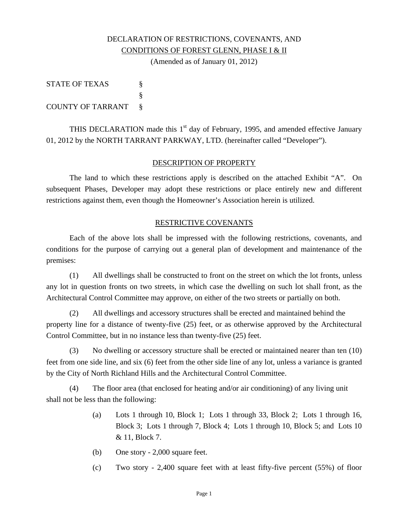# DECLARATION OF RESTRICTIONS, COVENANTS, AND CONDITIONS OF FOREST GLENN, PHASE I & II

(Amended as of January 01, 2012)

| <b>STATE OF TEXAS</b> |          |
|-----------------------|----------|
|                       |          |
| COUNTY OF TARRANT     | $\delta$ |

THIS DECLARATION made this  $1<sup>st</sup>$  day of February, 1995, and amended effective January 01, 2012 by the NORTH TARRANT PARKWAY, LTD. (hereinafter called "Developer").

### DESCRIPTION OF PROPERTY

 The land to which these restrictions apply is described on the attached Exhibit "A". On subsequent Phases, Developer may adopt these restrictions or place entirely new and different restrictions against them, even though the Homeowner's Association herein is utilized.

#### RESTRICTIVE COVENANTS

 Each of the above lots shall be impressed with the following restrictions, covenants, and conditions for the purpose of carrying out a general plan of development and maintenance of the premises:

 (1) All dwellings shall be constructed to front on the street on which the lot fronts, unless any lot in question fronts on two streets, in which case the dwelling on such lot shall front, as the Architectural Control Committee may approve, on either of the two streets or partially on both.

 (2) All dwellings and accessory structures shall be erected and maintained behind the property line for a distance of twenty-five (25) feet, or as otherwise approved by the Architectural Control Committee, but in no instance less than twenty-five (25) feet.

 (3) No dwelling or accessory structure shall be erected or maintained nearer than ten (10) feet from one side line, and six (6) feet from the other side line of any lot, unless a variance is granted by the City of North Richland Hills and the Architectural Control Committee.

 (4) The floor area (that enclosed for heating and/or air conditioning) of any living unit shall not be less than the following:

- (a) Lots 1 through 10, Block 1; Lots 1 through 33, Block 2; Lots 1 through 16, Block 3; Lots 1 through 7, Block 4; Lots 1 through 10, Block 5; and Lots 10 & 11, Block 7.
- (b) One story 2,000 square feet.
- (c) Two story 2,400 square feet with at least fifty-five percent (55%) of floor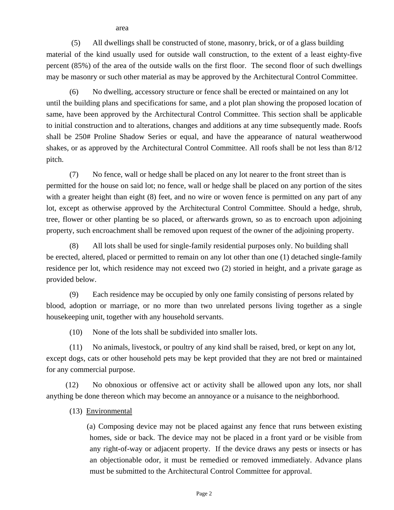area

 (5) All dwellings shall be constructed of stone, masonry, brick, or of a glass building material of the kind usually used for outside wall construction, to the extent of a least eighty-five percent (85%) of the area of the outside walls on the first floor. The second floor of such dwellings may be masonry or such other material as may be approved by the Architectural Control Committee.

 (6) No dwelling, accessory structure or fence shall be erected or maintained on any lot until the building plans and specifications for same, and a plot plan showing the proposed location of same, have been approved by the Architectural Control Committee. This section shall be applicable to initial construction and to alterations, changes and additions at any time subsequently made. Roofs shall be 250# Proline Shadow Series or equal, and have the appearance of natural weatherwood shakes, or as approved by the Architectural Control Committee. All roofs shall be not less than 8/12 pitch.

 (7) No fence, wall or hedge shall be placed on any lot nearer to the front street than is permitted for the house on said lot; no fence, wall or hedge shall be placed on any portion of the sites with a greater height than eight (8) feet, and no wire or woven fence is permitted on any part of any lot, except as otherwise approved by the Architectural Control Committee. Should a hedge, shrub, tree, flower or other planting be so placed, or afterwards grown, so as to encroach upon adjoining property, such encroachment shall be removed upon request of the owner of the adjoining property.

 (8) All lots shall be used for single-family residential purposes only. No building shall be erected, altered, placed or permitted to remain on any lot other than one (1) detached single-family residence per lot, which residence may not exceed two (2) storied in height, and a private garage as provided below.

 (9) Each residence may be occupied by only one family consisting of persons related by blood, adoption or marriage, or no more than two unrelated persons living together as a single housekeeping unit, together with any household servants.

(10) None of the lots shall be subdivided into smaller lots.

 (11) No animals, livestock, or poultry of any kind shall be raised, bred, or kept on any lot, except dogs, cats or other household pets may be kept provided that they are not bred or maintained for any commercial purpose.

 (12) No obnoxious or offensive act or activity shall be allowed upon any lots, nor shall anything be done thereon which may become an annoyance or a nuisance to the neighborhood.

(13) Environmental

(a) Composing device may not be placed against any fence that runs between existing homes, side or back. The device may not be placed in a front yard or be visible from any right-of-way or adjacent property. If the device draws any pests or insects or has an objectionable odor, it must be remedied or removed immediately. Advance plans must be submitted to the Architectural Control Committee for approval.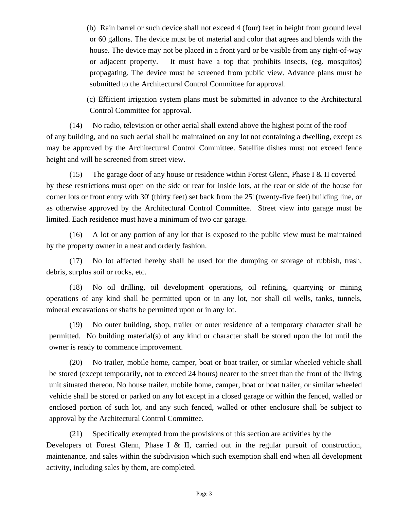(b) Rain barrel or such device shall not exceed 4 (four) feet in height from ground level or 60 gallons. The device must be of material and color that agrees and blends with the house. The device may not be placed in a front yard or be visible from any right-of-way or adjacent property. It must have a top that prohibits insects, (eg. mosquitos) propagating. The device must be screened from public view. Advance plans must be submitted to the Architectural Control Committee for approval.

(c) Efficient irrigation system plans must be submitted in advance to the Architectural Control Committee for approval.

 (14) No radio, television or other aerial shall extend above the highest point of the roof of any building, and no such aerial shall be maintained on any lot not containing a dwelling, except as may be approved by the Architectural Control Committee. Satellite dishes must not exceed fence height and will be screened from street view.

(15) The garage door of any house or residence within Forest Glenn, Phase I & II covered by these restrictions must open on the side or rear for inside lots, at the rear or side of the house for corner lots or front entry with 30' (thirty feet) set back from the 25' (twenty-five feet) building line, or as otherwise approved by the Architectural Control Committee. Street view into garage must be limited. Each residence must have a minimum of two car garage.

 (16) A lot or any portion of any lot that is exposed to the public view must be maintained by the property owner in a neat and orderly fashion.

 (17) No lot affected hereby shall be used for the dumping or storage of rubbish, trash, debris, surplus soil or rocks, etc.

 (18) No oil drilling, oil development operations, oil refining, quarrying or mining operations of any kind shall be permitted upon or in any lot, nor shall oil wells, tanks, tunnels, mineral excavations or shafts be permitted upon or in any lot.

 (19) No outer building, shop, trailer or outer residence of a temporary character shall be permitted. No building material(s) of any kind or character shall be stored upon the lot until the owner is ready to commence improvement.

 (20) No trailer, mobile home, camper, boat or boat trailer, or similar wheeled vehicle shall be stored (except temporarily, not to exceed 24 hours) nearer to the street than the front of the living unit situated thereon. No house trailer, mobile home, camper, boat or boat trailer, or similar wheeled vehicle shall be stored or parked on any lot except in a closed garage or within the fenced, walled or enclosed portion of such lot, and any such fenced, walled or other enclosure shall be subject to approval by the Architectural Control Committee.

 (21) Specifically exempted from the provisions of this section are activities by the Developers of Forest Glenn, Phase I & II, carried out in the regular pursuit of construction, maintenance, and sales within the subdivision which such exemption shall end when all development activity, including sales by them, are completed.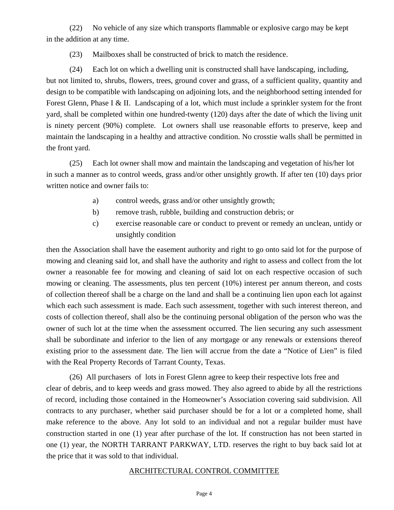(22) No vehicle of any size which transports flammable or explosive cargo may be kept in the addition at any time.

(23) Mailboxes shall be constructed of brick to match the residence.

 (24) Each lot on which a dwelling unit is constructed shall have landscaping, including, but not limited to, shrubs, flowers, trees, ground cover and grass, of a sufficient quality, quantity and design to be compatible with landscaping on adjoining lots, and the neighborhood setting intended for Forest Glenn, Phase I & II. Landscaping of a lot, which must include a sprinkler system for the front yard, shall be completed within one hundred-twenty (120) days after the date of which the living unit is ninety percent (90%) complete. Lot owners shall use reasonable efforts to preserve, keep and maintain the landscaping in a healthy and attractive condition. No crosstie walls shall be permitted in the front yard.

 (25) Each lot owner shall mow and maintain the landscaping and vegetation of his/her lot in such a manner as to control weeds, grass and/or other unsightly growth. If after ten (10) days prior written notice and owner fails to:

- a) control weeds, grass and/or other unsightly growth;
- b) remove trash, rubble, building and construction debris; or
- c) exercise reasonable care or conduct to prevent or remedy an unclean, untidy or unsightly condition

then the Association shall have the easement authority and right to go onto said lot for the purpose of mowing and cleaning said lot, and shall have the authority and right to assess and collect from the lot owner a reasonable fee for mowing and cleaning of said lot on each respective occasion of such mowing or cleaning. The assessments, plus ten percent (10%) interest per annum thereon, and costs of collection thereof shall be a charge on the land and shall be a continuing lien upon each lot against which each such assessment is made. Each such assessment, together with such interest thereon, and costs of collection thereof, shall also be the continuing personal obligation of the person who was the owner of such lot at the time when the assessment occurred. The lien securing any such assessment shall be subordinate and inferior to the lien of any mortgage or any renewals or extensions thereof existing prior to the assessment date. The lien will accrue from the date a "Notice of Lien" is filed with the Real Property Records of Tarrant County, Texas.

(26) All purchasers of lots in Forest Glenn agree to keep their respective lots free and clear of debris, and to keep weeds and grass mowed. They also agreed to abide by all the restrictions of record, including those contained in the Homeowner's Association covering said subdivision. All contracts to any purchaser, whether said purchaser should be for a lot or a completed home, shall make reference to the above. Any lot sold to an individual and not a regular builder must have construction started in one (1) year after purchase of the lot. If construction has not been started in one (1) year, the NORTH TARRANT PARKWAY, LTD. reserves the right to buy back said lot at the price that it was sold to that individual.

#### ARCHITECTURAL CONTROL COMMITTEE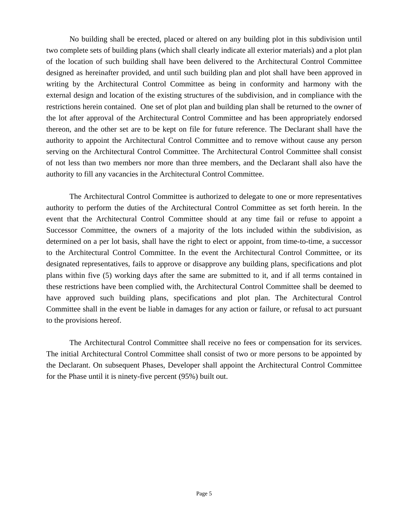No building shall be erected, placed or altered on any building plot in this subdivision until two complete sets of building plans (which shall clearly indicate all exterior materials) and a plot plan of the location of such building shall have been delivered to the Architectural Control Committee designed as hereinafter provided, and until such building plan and plot shall have been approved in writing by the Architectural Control Committee as being in conformity and harmony with the external design and location of the existing structures of the subdivision, and in compliance with the restrictions herein contained. One set of plot plan and building plan shall be returned to the owner of the lot after approval of the Architectural Control Committee and has been appropriately endorsed thereon, and the other set are to be kept on file for future reference. The Declarant shall have the authority to appoint the Architectural Control Committee and to remove without cause any person serving on the Architectural Control Committee. The Architectural Control Committee shall consist of not less than two members nor more than three members, and the Declarant shall also have the authority to fill any vacancies in the Architectural Control Committee.

 The Architectural Control Committee is authorized to delegate to one or more representatives authority to perform the duties of the Architectural Control Committee as set forth herein. In the event that the Architectural Control Committee should at any time fail or refuse to appoint a Successor Committee, the owners of a majority of the lots included within the subdivision, as determined on a per lot basis, shall have the right to elect or appoint, from time-to-time, a successor to the Architectural Control Committee. In the event the Architectural Control Committee, or its designated representatives, fails to approve or disapprove any building plans, specifications and plot plans within five (5) working days after the same are submitted to it, and if all terms contained in these restrictions have been complied with, the Architectural Control Committee shall be deemed to have approved such building plans, specifications and plot plan. The Architectural Control Committee shall in the event be liable in damages for any action or failure, or refusal to act pursuant to the provisions hereof.

 The Architectural Control Committee shall receive no fees or compensation for its services. The initial Architectural Control Committee shall consist of two or more persons to be appointed by the Declarant. On subsequent Phases, Developer shall appoint the Architectural Control Committee for the Phase until it is ninety-five percent (95%) built out.